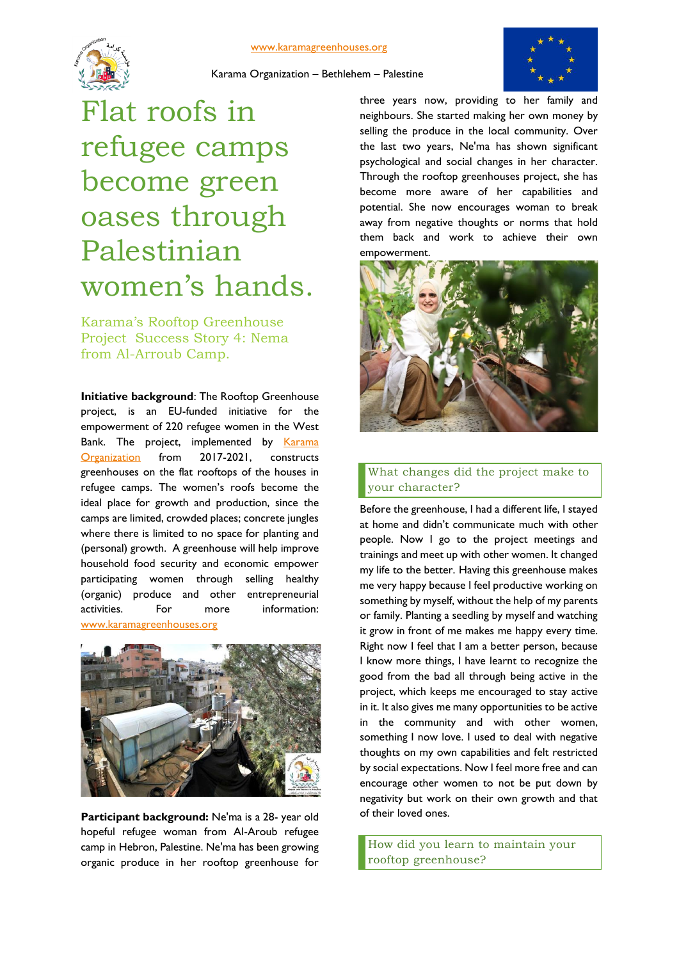#### [www.karamagreenhouses.org](http://www.karamagreenhouses.org/)





Karama Organization – Bethlehem – Palestine

# Flat roofs in refugee camps become green oases through Palestinian women's hands.

Karama's Rooftop Greenhouse Project Success Story 4: Nema from Al-Arroub Camp.

**Initiative background**: The Rooftop Greenhouse project, is an EU-funded initiative for the empowerment of 220 refugee women in the West Bank. The project, implemented by Karama [Organization](http://www.fb.com/karama48) from 2017-2021, constructs greenhouses on the flat rooftops of the houses in refugee camps. The women's roofs become the ideal place for growth and production, since the camps are limited, crowded places; concrete jungles where there is limited to no space for planting and (personal) growth. A greenhouse will help improve household food security and economic empower participating women through selling healthy (organic) produce and other entrepreneurial activities. For more information: [www.karamagreenhouses.org](http://www.karamagreenhouses.org/)



**Participant background:** Ne'ma is a 28- year old hopeful refugee woman from Al-Aroub refugee camp in Hebron, Palestine. Ne'ma has been growing organic produce in her rooftop greenhouse for

three years now, providing to her family and neighbours. She started making her own money by selling the produce in the local community. Over the last two years, Ne'ma has shown significant psychological and social changes in her character. Through the rooftop greenhouses project, she has become more aware of her capabilities and potential. She now encourages woman to break away from negative thoughts or norms that hold them back and work to achieve their own empowerment.



## What changes did the project make to your character?

Before the greenhouse, I had a different life, I stayed at home and didn't communicate much with other people. Now I go to the project meetings and trainings and meet up with other women. It changed my life to the better. Having this greenhouse makes me very happy because I feel productive working on something by myself, without the help of my parents or family. Planting a seedling by myself and watching it grow in front of me makes me happy every time. Right now I feel that I am a better person, because I know more things, I have learnt to recognize the good from the bad all through being active in the project, which keeps me encouraged to stay active in it. It also gives me many opportunities to be active in the community and with other women, something I now love. I used to deal with negative thoughts on my own capabilities and felt restricted by social expectations. Now I feel more free and can encourage other women to not be put down by negativity but work on their own growth and that of their loved ones.

How did you learn to maintain your rooftop greenhouse?